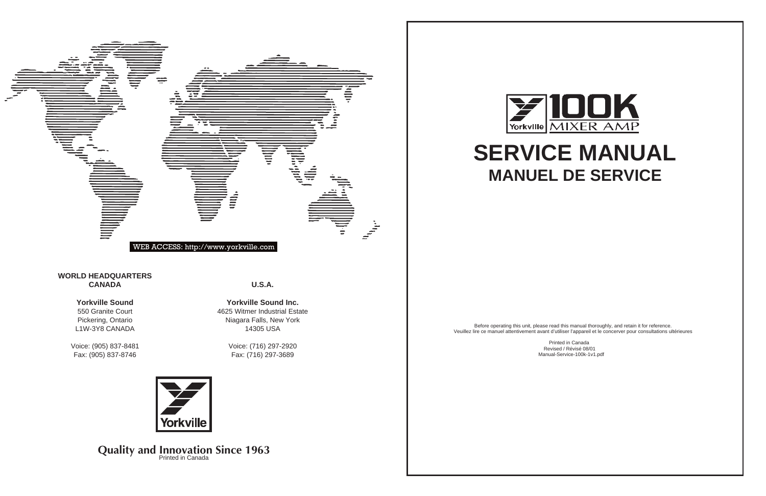Niagara Falls, New York 14305 USA

> Voice: (716) 297-2920 Fax: (716) 297-3689



**Quality and Innovation Since 1963** 

**Y** Yorkville



Pickering, Ontario L1W-3Y8 CANADA

Voice: (905) 837-8481 Fax: (905) 837-8746



Before operating this unit, please read this manual thoroughly, and retain it for reference. Veuillez lire ce manuel attentivement avant d'utiliser l'appareil et le concerver pour consultations ultérieures

Printed in Canada Revised / Révisé 08/01 Manual-Service-100k-1v1.pdf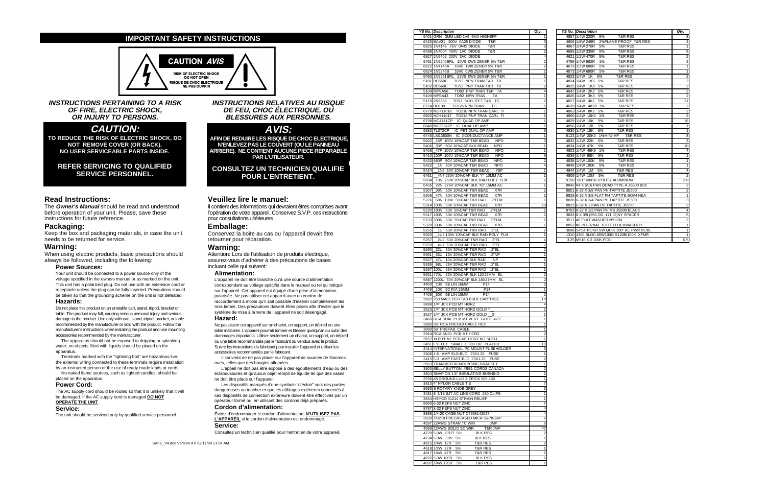|      | <b>YS No. Description</b>                   | Qty.           |      | <b>YS No. Description</b>                  | Qty.                    |
|------|---------------------------------------------|----------------|------|--------------------------------------------|-------------------------|
|      | 6401 GRN 3MM LED 1V9 6MA HIGHEFF            |                |      | 4857 1/4W 220R 5%<br><b>T&amp;R RES</b>    | 8                       |
|      | 6425 BAV21 200V 0A25 DIODE<br>T&R           | 3              |      | 4606 1/8W 249R<br>2%FLAME PROOF T&R RES    | $\overline{2}$          |
|      | 6825 1N4148 75V 0A45 DIODE<br>T&R           | 3              |      | 4867 1/4W 270R<br>5%<br><b>T&amp;R RES</b> | $\mathbf{1}$            |
|      | 6438 1N4004 400V 1A0 DIODE<br>T&R           | $\overline{2}$ |      | <b>T&amp;R RES</b><br>4655 1/2W 330R<br>5% | 6                       |
|      | 6827 1N5402 200V 3A0 DIODE                  |                |      | 4621 1/2W 470R<br>5%<br><b>T&amp;R RES</b> | $\overline{2}$          |
|      | 6461 1N5240BRL 10V0 0W5 ZENER 5% T&R        |                |      | 4799 1/4W 562R<br><b>T&amp;R RES</b><br>1% | $\overline{2}$          |
|      | 6822 1N4745A<br>16V0 1W0 ZENER 5% T&R       | 2              |      | 4673 1/2W 680R<br>5%<br><b>T&amp;R RES</b> | 1                       |
|      | 6824 1N5246B<br>16V0 0W5 ZENER 5% T&R       |                |      | 4873 1/4W 680R 5%<br><b>T&amp;R RES</b>    | $\mathbf{1}$            |
|      | 6463 1N5251BRL 22V0 0W5 ZENER 5% T&R        |                |      | 4823 1/4W 1K 5%<br><b>T&amp;R RES</b>      | $\overline{2}$          |
|      | 5101 BC550C<br>TO92 NPN TRAN T&R TB         |                |      | 4824 1/4W 1K5 5%<br><b>T&amp;R RES</b>     | $\overline{2}$          |
|      | 5102 BC560C<br>TO92 PNP TRAN T&R TB         | 2              |      | 4825 1/4W<br>1K8 5%<br><b>T&amp;R RES</b>  | $\overline{2}$          |
|      | 5104 MPSA56<br>TO92 PNP TRAN T&R TA         |                |      | 4847 1/4W<br>2K2 5%<br><b>T&amp;R RES</b>  | $\overline{2}$          |
|      | 5109 MPSA43<br>TO92 NPN TRAN<br><b>TA</b>   |                |      | 4826 1/4W 3K3 5%<br><b>T&amp;R RES</b>     | $\overline{2}$          |
|      | TO92 NCH JFET T&R TC<br>5119 2N5638         |                | 4827 | 1/4W<br>4K7 5%<br><b>T&amp;R RES</b>       | 11                      |
|      | TO126 NPN TRAN<br>6774 BD139<br>TG          |                |      | 4639 1/4W 4K99 1%<br><b>T&amp;R RES</b>    | $\overline{2}$          |
|      | 6779 MJH11018 TO218 NPN TRAN DARL TI        |                |      | 4863 1/4W 8K2 5%<br><b>T&amp;R RES</b>     | $\overline{2}$          |
|      | 6802 MJH11017 TO218 PNP TRAN DARL TI        |                |      | 4800 1/4W 10K0 1%<br><b>T&amp;R RES</b>    | $\overline{2}$          |
|      | 6798 MC4741CP IC QUAD OP AMP                |                |      | 4829 1/4W 10K<br>5%<br><b>T&amp;R RES</b>  | 16                      |
|      | 6840 MC33078P IC DUAL OP AMP                |                |      | 4856 1/4W 12K 5%<br><b>T&amp;R RES</b>     | $\mathbf{1}$            |
|      | 6882 TL072CP IC FET DUAL OP AMP             | 6              |      | 4830 1/4W 15K 5%<br><b>T&amp;R RES</b>     | $\mathbf{1}$            |
|      | 6745 LM13600N IC XCONDUCTANCE AMP           |                |      | 6123 1/4W 20K0 1%MINI MF T&R RES           | 8                       |
| 5402 | _15P 100V 10%CAP T&R BEAD<br><b>NPO</b>     | 3              |      | 4832 1/4W 22K 5%<br><b>T&amp;R RES</b>     | 3                       |
| 5406 | 33P 50V 10%CAP BLK BEAD<br><b>NPO</b>       |                |      | 4834 1/4W 47K 5%<br><b>T&amp;R RES</b>     | 10                      |
| 5408 | 47P 100V 10%CAP T&R BEAD<br><b>NPO</b>      | 1              |      | 4803 1/4W 49K9 1%<br><b>T&amp;R RES</b>    | 4                       |
| 5410 | 100P 100V 10%CAP T&R BEAD<br><b>NPO</b>     | 9              |      | 4836 1/4W 68K<br>5%<br><b>T&amp;R RES</b>  | $\mathbf{1}$            |
|      | 5420 680P 50V 10%CAP T&R BEAD<br><b>NPO</b> | 2              |      | 4838 1/4W 100K<br>5%<br><b>T&amp;R RES</b> | $\mathbf{1}$            |
| 5422 | 1N 50V 10%CAP T&R BEAD<br><b>NPO</b>        |                |      | 4849 1/4W 180K<br>5%<br><b>T&amp;R RES</b> | $\mathbf{1}$            |
| 5424 | 1N5 50V 10%CAP T&R BEAD<br>Y <sub>5</sub> P |                |      | 4844 1/4W 1M<br>5%<br><b>T&amp;R RES</b>   | $\overline{\mathbf{4}}$ |
| 6451 | 4N7 250V 20%CAP BLK 'Y' 10MM AC             |                |      | 4809 1/4W 10M 5%<br><b>T&amp;R RES</b>     | $\overline{2}$          |
| 5834 | 10N 250V 20%CAP BLK RAD POLY FLM            |                |      | 9150 .081" 48X96 UTILITY ALUMINUM          | 2.8                     |
| 6435 | 22N 275V 20%CAP BLK 'X2' 15MM AC            |                |      | 8842 #4 X 5/16 PAN QUAD TYPE A JS500 BLK   | $\overline{2}$          |
| 5307 | 39N 50V 10%CAP T&R BEAD<br>X7R              |                |      | 8801 6-32 X 3/8 PAN PH TAPTITE JS500       | $\overline{2}$          |
| 5308 | 47N 50V 10%CAP T&R BEAD<br>X7R              | 1              |      | 8829 6-32 X 3/8 FLAT PH TAPTITE BO#4 HEA   | $\mathbf{1}$            |
| 5226 | 68N 100V 5%CAP T&R RAD<br>.2"FLM            |                |      | 8828 6-32 X 3/4 PAN PH TAPTITE JS500       | 3                       |
|      | 5314 100N 50V 10%CAP T&R BEAD<br>X7R        | 20             |      | 8823 6-32 X 1 PAN PH TAPTITE JS500         | 3                       |
|      | 5230 180N 63V 5%CAP T&R RAD<br>.2"FLM       |                |      | 8763 8-32 X 1/2 PAN PH MS JS500 BLACK      | 4                       |
| 5317 | 180N 50V 10%CAP T&R BEAD<br>X7R             |                |      | 3833 8 X 3/8 (250 OD, 171 ID)NY SPACER     | 5                       |
|      | 5233 330N 63V 5%CAP T&R RAD<br>.2"FLM       |                |      | 3511 #6 FLAT WASHER NYLON                  | $\overline{2}$          |
| 5320 | 330N 50V 10%CAP T&R BEAD<br>X7R             |                |      | 8852 #6 INTERNAL TOOTH LOCKWASHER          | $\mathbf{1}$            |
| 5255 | 1U 63V 20%CAP T&R RAD<br>.2"EL              |                |      | 3698 SPST ROKR SW QUIK 180" AC PWR BL/BL   | 1                       |
| 5925 | 1U5 100V 10%CAP BLK RAD POLY FLM            |                |      | 1310 4200 BLOC-80B/100G S120B/100K XFMR    | $\mathbf{1}$            |
| 5257 | 2"EL. 20%CAP T&R RAD .2"EL                  | $\overline{4}$ |      | 3.25 M516 X 2 100K PCB                     | 0.5                     |

| 6401 GRN 3MM LED 1V9 6MA HIGHEFF                                                     | 1               | 4857 1/4W 220R<br>T&R RES<br>5%                          |
|--------------------------------------------------------------------------------------|-----------------|----------------------------------------------------------|
| 6425 BAV21 200V 0A25 DIODE<br>T&R                                                    | 3               | 4606 1/8W 249R<br>2%FLAME PROOF                          |
| 6825 1N4148 75V 0A45 DIODE<br>T&R                                                    | 3               | 4867 1/4W 270R<br><b>T&amp;R RES</b><br>5%               |
| 6438 1N4004 400V 1A0 DIODE<br>T&R                                                    | 2               | 4655 1/2W 330R<br>5%<br><b>T&amp;R RES</b>               |
| 6827 1N5402 200V 3A0 DIODE                                                           | 4               | 4621 1/2W 470R<br><b>T&amp;R RES</b><br>5%               |
| 6461 1N5240BRL 10V0 0W5 ZENER 5% T&R                                                 | 2               | 4799 1/4W 562R<br>$1\%$<br><b>T&amp;R RES</b>            |
| 6822 1N4745A 16V0 1W0 ZENER 5% T&R                                                   | 2               | 4673 1/2W 680R<br>5%<br><b>T&amp;R RES</b>               |
| 16V0 0W5 ZENER 5% T&R<br>6824 1N5246B                                                | 1               | 4873 1/4W 680R<br>5%<br><b>T&amp;R RES</b>               |
| 6463 1N5251BRL 22V0 0W5 ZENER 5% T&R                                                 | 1               | 4823 1/4W 1K<br>5%<br>T&R RES                            |
| 5101 BC550C<br>TO92 NPN TRAN T&R TB                                                  | 1               | 4824 1/4W<br>1K <sub>5</sub><br>5%<br><b>T&amp;R RES</b> |
| 5102 BC560C<br>TO92 PNP TRAN T&R TB                                                  | 2               | 4825 1/4W<br>1K8<br>5%<br>T&R RES                        |
| 5104 MPSA56<br>TO92 PNP TRAN T&R TA                                                  | 4               | 4847 1/4W<br>2K <sub>2</sub><br>5%<br><b>T&amp;R RES</b> |
| 5109 MPSA43 TO92 NPN TRAN TA                                                         | 1               | 4826 1/4W<br><b>T&amp;R RES</b><br>3K3 5%                |
|                                                                                      |                 | 4K7                                                      |
| TO92 NCH JFET T&R TC<br>5119 2N5638                                                  | 1               | <b>T&amp;R RES</b><br>4827 1/4W<br>5%                    |
| TO126 NPN TRAN TG<br>6774 BD139                                                      | 1               | 4639 1/4W<br>4K99 1%<br>T&R RES                          |
| 6779 MJH11018 TO218 NPN TRAN DARL TI                                                 | 1               | 4863 1/4W 8K2 5%<br><b>T&amp;R RES</b>                   |
| 6802 MJH11017 TO218 PNP TRAN DARL TI                                                 | 1               | 4800 1/4W 10K0 1%<br><b>T&amp;R RES</b>                  |
| 6798 MC4741CP IC QUAD OP AMP                                                         | 1               | 4829 1/4W 10K<br>5%<br><b>T&amp;R RES</b>                |
| 6840 MC33078P IC DUAL OP AMP                                                         | 1               | 4856 1/4W 12K<br>5%<br><b>T&amp;R RES</b>                |
| 6882 TL072CP IC FET DUAL OP AMP                                                      | 6               | 4830 1/4W 15K<br>5%<br><b>T&amp;R RES</b>                |
| 6745 LM13600N IC XCONDUCTANCE AMP                                                    | 1               | 6123 1/4W 20K0 1%MINI MF T&R                             |
| 5402 _15P 100V 10%CAP T&R BEAD                                                       | <b>NPO</b><br>3 | 4832 1/4W 22K<br><b>T&amp;R RES</b><br>5%                |
| _33P 50V 10%CAP BLK BEAD NPO<br>5406                                                 | 1               | 4834 1/4W 47K<br>5%<br><b>T&amp;R RES</b>                |
| 5408                                                                                 | <b>NPO</b><br>1 | 4803 1/4W 49K9 1%<br>T&R RES                             |
| 5410 100P 100V 10%CAP T&R BEAD                                                       | <b>NPO</b><br>9 | 4836 1/4W 68K<br><b>T&amp;R RES</b><br>5%                |
| 5420 680P 50V 10%CAP T&R BEAD                                                        | <b>NPO</b><br>2 | 4838 1/4W 100K<br>T&R RES<br>5%                          |
| 5422<br>1N 50V 10%CAP T&R BEAD                                                       | <b>NPO</b><br>4 | 4849 1/4W 180K 5%<br><b>T&amp;R RES</b>                  |
| 5424<br>1N5 50V 10%CAP T&R BEAD                                                      | Y5P<br>1        | 4844 1/4W 1M<br>5%<br>T&R RES                            |
| _4N7 250V 20%CAP BLK 'Y' 10MM AC<br>6451                                             | 1               | 4809 1/4W 10M 5%<br><b>T&amp;R RES</b>                   |
| 5834<br>10N 250V 20%CAP BLK RAD POLY FLM                                             | 1               | 9150 .081" 48X96 UTILITY ALUMINUM                        |
|                                                                                      | 1               | 8842 #4 X 5/16 PAN QUAD TYPE A JS!                       |
| _22N 275V 20%CAP BLK 'X2' 15MM AC<br>6435                                            |                 |                                                          |
| _39N 50V 10%CAP T&R BEAD<br>5307                                                     | X7R<br>2        | 8801 6-32 X 3/8 PAN PH TAPTITE JS50                      |
| 5308<br>_47N 50V 10%CAP T&R BEAD                                                     | X7R<br>1        | 8829 6-32 X 3/8 FLAT PH TAPTITE BO                       |
| 5226<br>2"FLM. 100V 5%CAP T&R RAD.                                                   | 1               | 8828 6-32 X 3/4 PAN PH TAPTITE JS50                      |
| 5314 100N 50V 10%CAP T&R BEAD X7R                                                    | 20              | 8823 6-32 X 1 PAN PH TAPTITE JS500                       |
| 5230 180N 63V 5%CAP T&R RAD .2"FLM                                                   | 1               | 8763 8-32 X 1/2 PAN PH MS JS500 BL/                      |
| 5317 180N 50V 10%CAP T&R BEAD X7R                                                    | 1               | 3833 8 X 3/8 (250 OD, 171 ID)NY SPAC                     |
| 5233 330N 63V 5%CAP T&R RAD .2"FLM                                                   | 1               | 3511 #6 FLAT WASHER NYLON                                |
| 5320 330N 50V 10%CAP T&R BEAD X7R                                                    | 1               | 8852 #6 INTERNAL TOOTH LOCKWAS                           |
| 5255<br>_1U 63V 20%CAP T&R RAD .2"EL                                                 | 2               | 3698 SPST ROKR SW QUIK 180" AC P                         |
| 5925<br>1U5 100V 10%CAP BLK RAD POLY FLM                                             | 1               | 1310 4200 BLOC-80B/100G S120B/100                        |
| 5257<br>2U2 63V 20%CAP T&R RAD .2"EL                                                 | 4               | 3.25 M516 X 2 100K PCB                                   |
| 5259<br>4U7 63V 20%CAP T&R RAD<br>.2"EL                                              | 2               |                                                          |
| 5260<br>_22U 50V 20%CAP T&R RAD .2"EL                                                | 2               |                                                          |
| 5961<br>2"NP. 33U 16V 20%CAP T&R RAD                                                 | 1               |                                                          |
| _47U 10V 20%CAP BLK RAD<br><b>NP</b><br>5627                                         | 1               |                                                          |
| 68U 25V 20% CAP T&R RAD<br>5265<br>.2"EL                                             | 1               |                                                          |
| 5267 100U 25V 20%CAP T&R RAD .2"EL                                                   | 1               |                                                          |
| 470U 63V 20%CAP BLK 12X25MM EL<br>5621                                               | 2               |                                                          |
| 5887 2200U 50V 20%CAP BLK 18X27MM EL                                                 | 2               |                                                          |
| 4403<br>P <sub>14</sub>                                                              | 3               |                                                          |
| $\_10K$ 5B LIN 16MM                                                                  |                 |                                                          |
| 4409<br>10K 5C R/A 16MM<br>P14                                                       | 1               |                                                          |
| 4406<br>_50K 5B LIN 16MM<br>P <sub>14</sub>                                          | 2               |                                                          |
| 3682 250 MALE PCB TAB BULK CARTRIGE                                                  | 10              |                                                          |
| 3498 1/4" JCK PCB MT HORZ                                                            | 4               |                                                          |
| 3523 1/4" JCK PCB MT HORZ GOLD T                                                     | 1               |                                                          |
| 3527 1/4" JCK PCB MT HORZ GOLD                                                       |                 |                                                          |
| 3460 RCA DUAL PCB MT VERT GOLD .475"                                                 | 1               |                                                          |
| 3886 36" RCA PREFAB CABLE RED                                                        | 1               |                                                          |
| 3890 36" PREFAB. CABLE                                                               | 1               |                                                          |
| 3914 RCA SNGL PCB MT HORZ                                                            | 2               |                                                          |
| 3657 XLR FEML PCB MT HORZ NO SHELL                                                   |                 |                                                          |
| 3451 EYELET SMALL 0.089 OD PLATED                                                    | 10              |                                                          |
| 3414 INTERNATIONAL PC MOUNT FUSEHOLDER                                               | 6               |                                                          |
| 2406 1.6 AMP SLO-BLO .25X1.25 FUSE                                                   | 1               |                                                          |
| 2415 5.0 AMP FAST-BLO .25X1.25 FUSE                                                  | 2               |                                                          |
| 3563 TRANSISTOR MOUNTING BRACKET                                                     | 1               |                                                          |
| 3800 BELLY BUTTON #BB1 CORDS CANADA                                                  |                 |                                                          |
| 3804 SNAP ON 1.5" INSULATING BUSHING                                                 | 2               |                                                          |
|                                                                                      | 1               |                                                          |
| 3795 #8 GROUND LUG ZIERICK 505-169                                                   | 1               |                                                          |
| 3810 4" NYLON CABLE TIE                                                              | 7               |                                                          |
| 8693 S ROTARY KNOB GREY                                                              | 6               |                                                          |
| 3481 8' 3/18 SJT AC LINE CORD 250 CLIPS                                              | 1               |                                                          |
| 3834 HEYCO #1214 STRAIN RELIEF                                                       | 1               |                                                          |
| 8800 6-32 KEPS NUT ZINC                                                              | 7               |                                                          |
| 8787 8-32 KEPS NUT ZINC                                                              | 4               |                                                          |
| 8898 1/4-20 CAGE NUT C7998142027                                                     | 4               |                                                          |
| 3830 TO218 PREGREASED MICA 56-78-2AP                                                 | 2               |                                                          |
| 4597 22AWG STRAN TC WIR JMP                                                          | 6               |                                                          |
| 4599 22AWG SOLID SC WIR<br>T&R JMP                                                   | 47              |                                                          |
| 4729 5.0W 0R27 5%<br><b>BLK RES</b>                                                  |                 |                                                          |
|                                                                                      |                 |                                                          |
|                                                                                      | 2               |                                                          |
| 4734 5.0W 3R9 5%<br><b>BLK RES</b>                                                   | 1               |                                                          |
| 4815 1/4W 12R<br>5%<br>T&R RES                                                       | 2               |                                                          |
| 4618 1/2W 22R<br>5%<br>T&R RES                                                       | 1               |                                                          |
| 4817 1/4W 47R<br>T&R RES<br>5%                                                       | 1               |                                                          |
| 4692 5.0W 100R<br><b>BLK RES</b><br>5%<br>4897 1/4W 120R<br><b>T&amp;R RES</b><br>5% | 1<br>1          |                                                          |

When using electric products, basic precautions should always be followed, including the following:

#### **Power Sources:**

Your unit should be connected to a power source only of the voltage specified i n the owners manual or as marked on the unit. This unit has a polarized plug. D o not use w ith an extension cord or receptacle unless the plug can be fully inserted. Precautions should be taken so that the grounding scheme on the unit is not defeated.

The apparatus should not be exposed to dripping or splashing w ater; no objects fil led with liquids should be placed on the apparatus.

Terminals marked with the "lightning bolt" are hazardous live; the external wiring connected to these terminals require install ation by an instructed person or the use of ready made leads or cords. No naked flame sources, such as lighted candles, should be

Il convient de ne pas placer sur l'appareil de sources de flammes nues, telles que des bougies allumées.

**INSTRUCTIONS PERTAINING TO A RISK OF FIRE, ELECTRIC SHOCK, OR INJURY TO PERSONS.**

# **CAUTION:**

**TO REDUCE THE RISK OF ELECTRIC SHOCK, DO NOT REMOVE COVER (OR BACK). NO USER SERVICEABLE PARTS INSIDE.**

# **REFER SERVICING TO QUALIFIED SERVICE PERSONNEL.**

### **Read Instructions:**

The **Owner 's Man ual** should be read and understood before operation of your unit. Please, save these instructions for future reference.

#### **Packaging:**

Keep the box and packaging materials, in case the unit needs to be returned for service.

# **Warning:**

#### **Hazards:**

Do not place this product on an unstable cart, stand, tripod, bracket or table. The product may fall , causing serious personal inj ury and serious damage to the product. Use only with cart, stand, tripod, bracket, or table recommended by the manufacturer or sold with the product. Follow the manufacturer's instructions when installing the product and use mounting accessories recommended by the manufacturer.

placed on the apparatus.

## **Power Cord:**

The A C supply cord should be routed so that it is unlikely that it will be damaged. If the A C supply cord is damaged **DO NOT OPERATE T HE UNI T** .

#### **Service:**

The unit should be serviced only by qualified service personnel.

## **INSTRUCTIONS RELATIVES AU RISQUE DE FEU, CHOC ÉLECTRIQUE, OU BLESSURES AUX PERSONNES.**

# **AVIS:**

**AFIN DE REDUIRE LES RISQUE DE CHOC ELECTRIQUE, N'ENLEVEZ PAS LE COUVERT (OU LE PANNEAU ARRIERE). NE CONTIENT AUCUNE PIECE REPARABLE PAR L'UTILISATEUR.**

## **CONSULTEZ UN TECHNICIEN QUALIFI E POUR L'ENTRETIENT.**

#### **Veuillez lire le manuel:**

Il contient des informations qui devraient êtres comprises avant l'opération de votre appareil. Conservez S.V.P. ces instructions pour consultations ultérieures

## **Emballage:**

Conservez la boite au cas ou l'appareil devait être retourner pour réparation.

# **Warning:**

Attention: Lors de l'utilisation de produits électrique, assurez-vous d'adhérer à des précautions de bases incluant celle qui suivent:

#### **Alime ntation:**

L'apparei l ne doit être branché qu'à une source d'al i mentation correspondant au voltage spécifié dans l e manuel ou tel qu' indiqué sur l'appareil. Cet appareil est équipé d'une prise d'alimentation polarisée. Ne pas utiliser cet appareil avec un cordon de raccordement à moins qu'il soit possible d'insérer complètement les trois l ames. D es précautions doivent êtres prises afin d'eviter que l e système de mise à la terre de l'appareil ne soit désengagé.

#### **Haz ard:**

N e pas placer cet appareil sur un chariot, un support, un trépied ou une table instables. L'appareil pourrait tomber et blesser quelqu'un ou subir des dommages importants. Utiliser seulement un chariot, un support, un trépied ou une table recommandés par le fabricant ou vendus avec le produit. Suivre les instructions du fabricant pour installer l'appareil et utiliser les accessoires recommandés par l e fabricant.

L'appei l ne doit pas être exposé à des égouttements d'eau ou des éclaboussures et qu'aucun objet rempli de liquide tel que des vases ne doit être placé sur l'apparei l .

Les dispositifs marqués d'une symbole "d'éclair" sont des parties dangereuses au toucher et que l es câblages extérieurs connectés à ces dispositifs de connection extérieure doivent être effectivés par un opérateur formé ou en utilisant des cordons déjà préparés.

#### **Cordon d'alime ntation:**

É v i tez d'endommager l e cordon d'al i mentation. **N'UT I L ISEZ PAS L 'APPAREIL** si le cordon d'ali mentation est endommagé. **Service:**

Consultez un technicien qualifié pour l'entretien de votre appareil.

# **IMPORTANT SAFETY INSTRUCTIONS**



SAFE\_V4.doc Version 4.0 02/11/99 11:54 AM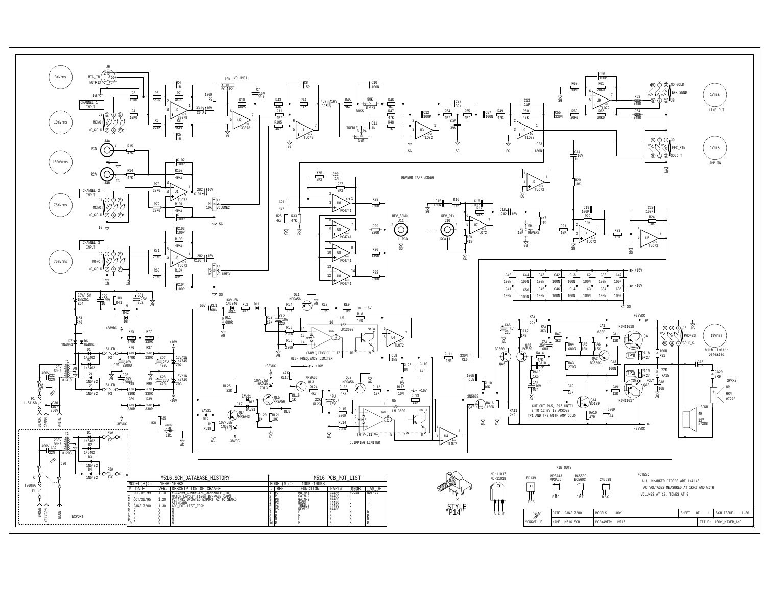